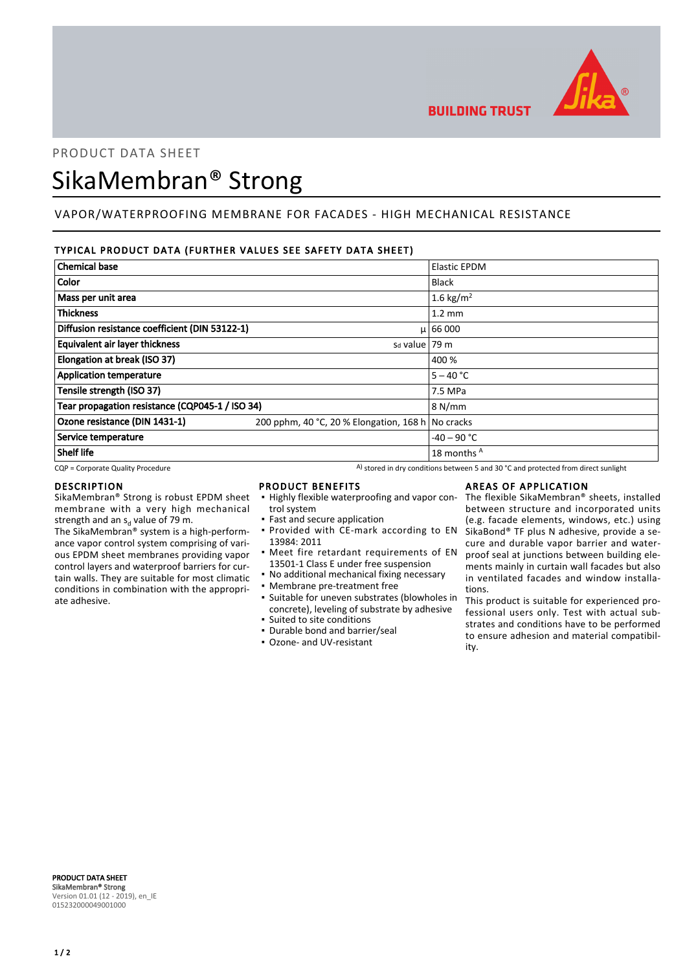

**BUILDING TRUST** 

## PRODUCT DATA SHEET

# SikaMembran® Strong

## VAPOR/WATERPROOFING MEMBRANE FOR FACADES - HIGH MECHANICAL RESISTANCE

### TYPICAL PRODUCT DATA (FURTHER VALUES SEE SAFETY DATA SHEET)

| <b>Chemical base</b>                            |                                                   | <b>Elastic EPDM</b> |
|-------------------------------------------------|---------------------------------------------------|---------------------|
| Color                                           |                                                   | <b>Black</b>        |
| Mass per unit area                              |                                                   | 1.6 kg/ $m^2$       |
| <b>Thickness</b>                                |                                                   | $1.2 \text{ mm}$    |
| Diffusion resistance coefficient (DIN 53122-1)  |                                                   | $\mu$ 66 000        |
| <b>Equivalent air layer thickness</b>           | $sa$ value   79 m                                 |                     |
| Elongation at break (ISO 37)                    |                                                   | 400 %               |
| <b>Application temperature</b>                  |                                                   | $5 - 40 °C$         |
| Tensile strength (ISO 37)                       |                                                   | 7.5 MPa             |
| Tear propagation resistance (CQP045-1 / ISO 34) |                                                   | 8 N/mm              |
| Ozone resistance (DIN 1431-1)                   | 200 pphm, 40 °C, 20 % Elongation, 168 h No cracks |                     |
| Service temperature                             |                                                   | $-40 - 90$ °C       |
| <b>Shelf life</b>                               |                                                   | 18 months A         |

 $CQP$  = Corporate Quality Procedure  $A)$  stored in dry conditions between 5 and 30 °C and protected from direct sunlight

#### DESCRIPTION

SikaMembran® Strong is robust EPDM sheet membrane with a very high mechanical strength and an s<sub>d</sub> value of 79 m.

The SikaMembran® system is a high-performance vapor control system comprising of various EPDM sheet membranes providing vapor control layers and waterproof barriers for curtain walls. They are suitable for most climatic conditions in combination with the appropriate adhesive.

## PRODUCT BENEFITS

- **.** Highly flexible waterproofing and vapor control system
- Fast and secure application
- **Provided with CE-mark according to EN** 13984: 2011
- **•** Meet fire retardant requirements of EN 13501-1 Class E under free suspension
- **No additional mechanical fixing necessary**
- Membrane pre-treatment free
- Suitable for uneven substrates (blowholes in concrete), leveling of substrate by adhesive
- Suited to site conditions
- Durable bond and barrier/seal
- Ozone- and UV-resistant

#### AREAS OF APPLICATION

The flexible SikaMembran® sheets, installed between structure and incorporated units (e.g. facade elements, windows, etc.) using SikaBond® TF plus N adhesive, provide a secure and durable vapor barrier and waterproof seal at junctions between building elements mainly in curtain wall facades but also in ventilated facades and window installations.

This product is suitable for experienced professional users only. Test with actual substrates and conditions have to be performed to ensure adhesion and material compatibility.

PRODUCT DATA SHEET SikaMembran® Strong Version 01.01 (12 - 2019), en\_IE 015232000049001000